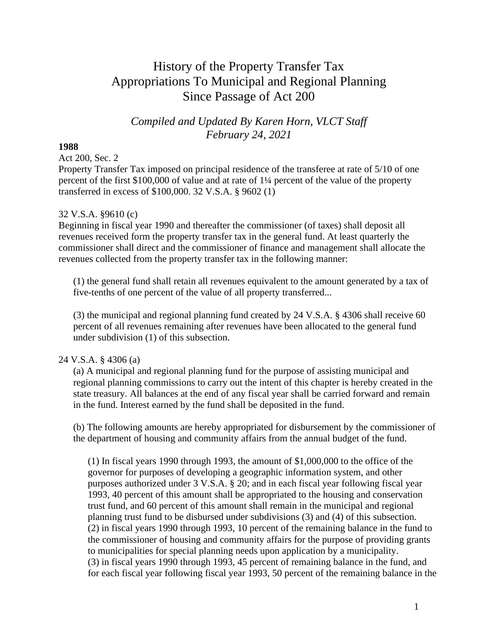# History of the Property Transfer Tax Appropriations To Municipal and Regional Planning Since Passage of Act 200

## *Compiled and Updated By Karen Horn, VLCT Staff February 24, 2021*

#### **1988**

Act 200, Sec. 2

Property Transfer Tax imposed on principal residence of the transferee at rate of 5/10 of one percent of the first \$100,000 of value and at rate of 1¼ percent of the value of the property transferred in excess of \$100,000. 32 V.S.A. § 9602 (1)

### 32 V.S.A. §9610 (c)

Beginning in fiscal year 1990 and thereafter the commissioner (of taxes) shall deposit all revenues received form the property transfer tax in the general fund. At least quarterly the commissioner shall direct and the commissioner of finance and management shall allocate the revenues collected from the property transfer tax in the following manner:

(1) the general fund shall retain all revenues equivalent to the amount generated by a tax of five-tenths of one percent of the value of all property transferred...

(3) the municipal and regional planning fund created by 24 V.S.A. § 4306 shall receive 60 percent of all revenues remaining after revenues have been allocated to the general fund under subdivision (1) of this subsection.

### 24 V.S.A. § 4306 (a)

(a) A municipal and regional planning fund for the purpose of assisting municipal and regional planning commissions to carry out the intent of this chapter is hereby created in the state treasury. All balances at the end of any fiscal year shall be carried forward and remain in the fund. Interest earned by the fund shall be deposited in the fund.

(b) The following amounts are hereby appropriated for disbursement by the commissioner of the department of housing and community affairs from the annual budget of the fund.

(1) In fiscal years 1990 through 1993, the amount of \$1,000,000 to the office of the governor for purposes of developing a geographic information system, and other purposes authorized under 3 V.S.A. § 20; and in each fiscal year following fiscal year 1993, 40 percent of this amount shall be appropriated to the housing and conservation trust fund, and 60 percent of this amount shall remain in the municipal and regional planning trust fund to be disbursed under subdivisions (3) and (4) of this subsection. (2) in fiscal years 1990 through 1993, 10 percent of the remaining balance in the fund to the commissioner of housing and community affairs for the purpose of providing grants to municipalities for special planning needs upon application by a municipality. (3) in fiscal years 1990 through 1993, 45 percent of remaining balance in the fund, and for each fiscal year following fiscal year 1993, 50 percent of the remaining balance in the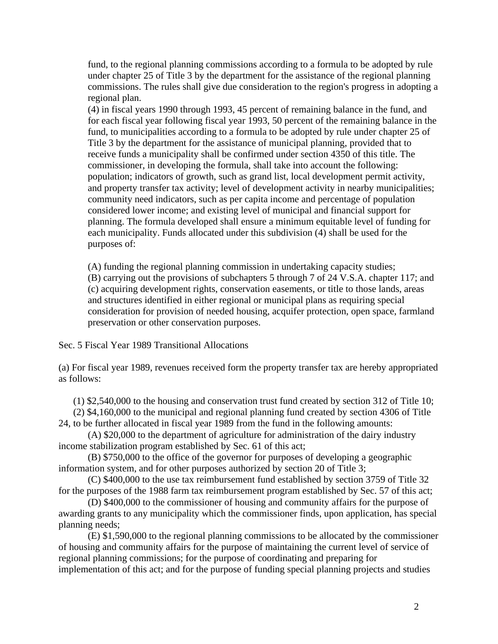fund, to the regional planning commissions according to a formula to be adopted by rule under chapter 25 of Title 3 by the department for the assistance of the regional planning commissions. The rules shall give due consideration to the region's progress in adopting a regional plan.

(4) in fiscal years 1990 through 1993, 45 percent of remaining balance in the fund, and for each fiscal year following fiscal year 1993, 50 percent of the remaining balance in the fund, to municipalities according to a formula to be adopted by rule under chapter 25 of Title 3 by the department for the assistance of municipal planning, provided that to receive funds a municipality shall be confirmed under section 4350 of this title. The commissioner, in developing the formula, shall take into account the following: population; indicators of growth, such as grand list, local development permit activity, and property transfer tax activity; level of development activity in nearby municipalities; community need indicators, such as per capita income and percentage of population considered lower income; and existing level of municipal and financial support for planning. The formula developed shall ensure a minimum equitable level of funding for each municipality. Funds allocated under this subdivision (4) shall be used for the purposes of:

(A) funding the regional planning commission in undertaking capacity studies;

(B) carrying out the provisions of subchapters 5 through 7 of 24 V.S.A. chapter 117; and (c) acquiring development rights, conservation easements, or title to those lands, areas and structures identified in either regional or municipal plans as requiring special consideration for provision of needed housing, acquifer protection, open space, farmland preservation or other conservation purposes.

Sec. 5 Fiscal Year 1989 Transitional Allocations

(a) For fiscal year 1989, revenues received form the property transfer tax are hereby appropriated as follows:

(1) \$2,540,000 to the housing and conservation trust fund created by section 312 of Title 10;

(2) \$4,160,000 to the municipal and regional planning fund created by section 4306 of Title 24, to be further allocated in fiscal year 1989 from the fund in the following amounts:

(A) \$20,000 to the department of agriculture for administration of the dairy industry income stabilization program established by Sec. 61 of this act;

(B) \$750,000 to the office of the governor for purposes of developing a geographic information system, and for other purposes authorized by section 20 of Title 3;

(C) \$400,000 to the use tax reimbursement fund established by section 3759 of Title 32 for the purposes of the 1988 farm tax reimbursement program established by Sec. 57 of this act;

(D) \$400,000 to the commissioner of housing and community affairs for the purpose of awarding grants to any municipality which the commissioner finds, upon application, has special planning needs;

(E) \$1,590,000 to the regional planning commissions to be allocated by the commissioner of housing and community affairs for the purpose of maintaining the current level of service of regional planning commissions; for the purpose of coordinating and preparing for implementation of this act; and for the purpose of funding special planning projects and studies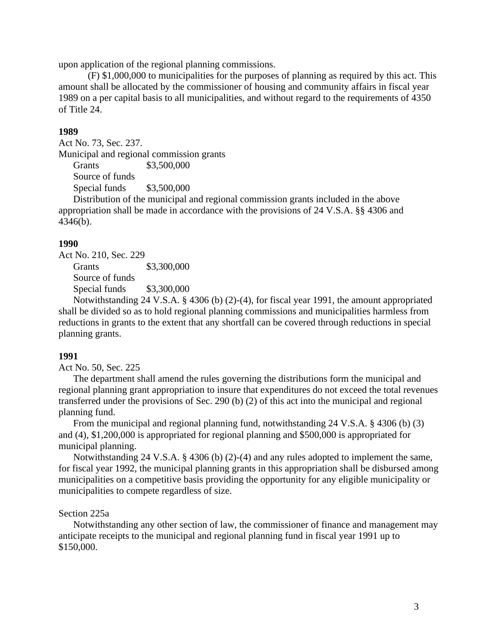upon application of the regional planning commissions.

(F) \$1,000,000 to municipalities for the purposes of planning as required by this act. This amount shall be allocated by the commissioner of housing and community affairs in fiscal year 1989 on a per capital basis to all municipalities, and without regard to the requirements of 4350 of Title 24.

#### **1989**

Act No. 73, Sec. 237. Municipal and regional commission grants Grants \$3,500,000 Source of funds Special funds \$3,500,000

Distribution of the municipal and regional commission grants included in the above appropriation shall be made in accordance with the provisions of 24 V.S.A. §§ 4306 and 4346(b).

#### **1990**

Act No. 210, Sec. 229 Grants \$3,300,000 Source of funds Special funds \$3,300,000

Notwithstanding 24 V.S.A. § 4306 (b) (2)-(4), for fiscal year 1991, the amount appropriated shall be divided so as to hold regional planning commissions and municipalities harmless from reductions in grants to the extent that any shortfall can be covered through reductions in special planning grants.

#### **1991**

Act No. 50, Sec. 225

The department shall amend the rules governing the distributions form the municipal and regional planning grant appropriation to insure that expenditures do not exceed the total revenues transferred under the provisions of Sec. 290 (b) (2) of this act into the municipal and regional planning fund.

From the municipal and regional planning fund, notwithstanding 24 V.S.A. § 4306 (b) (3) and (4), \$1,200,000 is appropriated for regional planning and \$500,000 is appropriated for municipal planning.

Notwithstanding 24 V.S.A. § 4306 (b) (2)-(4) and any rules adopted to implement the same, for fiscal year 1992, the municipal planning grants in this appropriation shall be disbursed among municipalities on a competitive basis providing the opportunity for any eligible municipality or municipalities to compete regardless of size.

#### Section 225a

Notwithstanding any other section of law, the commissioner of finance and management may anticipate receipts to the municipal and regional planning fund in fiscal year 1991 up to \$150,000.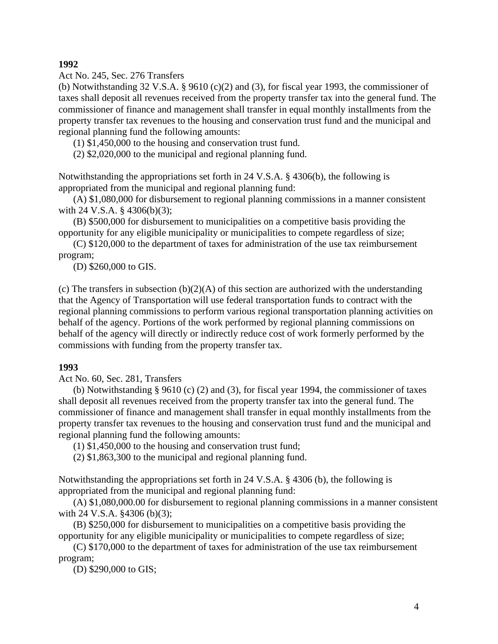**1992**

Act No. 245, Sec. 276 Transfers

(b) Notwithstanding 32 V.S.A. § 9610 (c)(2) and (3), for fiscal year 1993, the commissioner of taxes shall deposit all revenues received from the property transfer tax into the general fund. The commissioner of finance and management shall transfer in equal monthly installments from the property transfer tax revenues to the housing and conservation trust fund and the municipal and regional planning fund the following amounts:

(1) \$1,450,000 to the housing and conservation trust fund.

(2) \$2,020,000 to the municipal and regional planning fund.

Notwithstanding the appropriations set forth in 24 V.S.A. § 4306(b), the following is appropriated from the municipal and regional planning fund:

(A) \$1,080,000 for disbursement to regional planning commissions in a manner consistent with 24 V.S.A. § 4306(b)(3);

(B) \$500,000 for disbursement to municipalities on a competitive basis providing the opportunity for any eligible municipality or municipalities to compete regardless of size;

(C) \$120,000 to the department of taxes for administration of the use tax reimbursement program;

(D) \$260,000 to GIS.

(c) The transfers in subsection  $(b)(2)(A)$  of this section are authorized with the understanding that the Agency of Transportation will use federal transportation funds to contract with the regional planning commissions to perform various regional transportation planning activities on behalf of the agency. Portions of the work performed by regional planning commissions on behalf of the agency will directly or indirectly reduce cost of work formerly performed by the commissions with funding from the property transfer tax.

#### **1993**

Act No. 60, Sec. 281, Transfers

(b) Notwithstanding § 9610 (c) (2) and (3), for fiscal year 1994, the commissioner of taxes shall deposit all revenues received from the property transfer tax into the general fund. The commissioner of finance and management shall transfer in equal monthly installments from the property transfer tax revenues to the housing and conservation trust fund and the municipal and regional planning fund the following amounts:

(1) \$1,450,000 to the housing and conservation trust fund;

(2) \$1,863,300 to the municipal and regional planning fund.

Notwithstanding the appropriations set forth in 24 V.S.A. § 4306 (b), the following is appropriated from the municipal and regional planning fund:

(A) \$1,080,000.00 for disbursement to regional planning commissions in a manner consistent with 24 V.S.A. §4306 (b)(3);

(B) \$250,000 for disbursement to municipalities on a competitive basis providing the opportunity for any eligible municipality or municipalities to compete regardless of size;

(C) \$170,000 to the department of taxes for administration of the use tax reimbursement program;

(D) \$290,000 to GIS;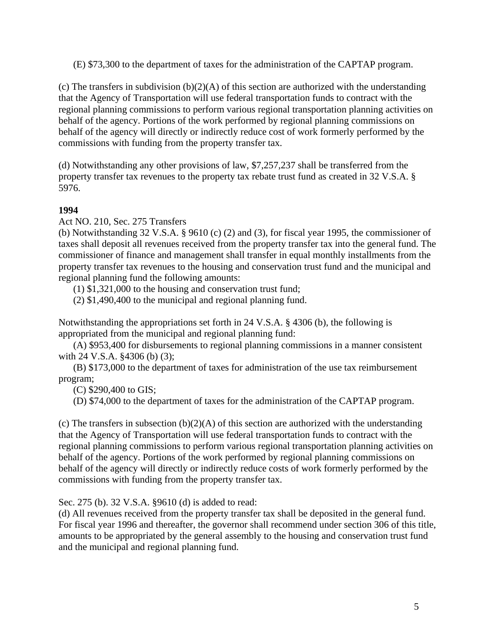(E) \$73,300 to the department of taxes for the administration of the CAPTAP program.

(c) The transfers in subdivision  $(b)(2)(A)$  of this section are authorized with the understanding that the Agency of Transportation will use federal transportation funds to contract with the regional planning commissions to perform various regional transportation planning activities on behalf of the agency. Portions of the work performed by regional planning commissions on behalf of the agency will directly or indirectly reduce cost of work formerly performed by the commissions with funding from the property transfer tax.

(d) Notwithstanding any other provisions of law, \$7,257,237 shall be transferred from the property transfer tax revenues to the property tax rebate trust fund as created in 32 V.S.A. § 5976.

## **1994**

Act NO. 210, Sec. 275 Transfers

(b) Notwithstanding 32 V.S.A. § 9610 (c) (2) and (3), for fiscal year 1995, the commissioner of taxes shall deposit all revenues received from the property transfer tax into the general fund. The commissioner of finance and management shall transfer in equal monthly installments from the property transfer tax revenues to the housing and conservation trust fund and the municipal and regional planning fund the following amounts:

(1) \$1,321,000 to the housing and conservation trust fund;

(2) \$1,490,400 to the municipal and regional planning fund.

Notwithstanding the appropriations set forth in 24 V.S.A. § 4306 (b), the following is appropriated from the municipal and regional planning fund:

(A) \$953,400 for disbursements to regional planning commissions in a manner consistent with 24 V.S.A. §4306 (b) (3);

(B) \$173,000 to the department of taxes for administration of the use tax reimbursement program;

(C) \$290,400 to GIS;

(D) \$74,000 to the department of taxes for the administration of the CAPTAP program.

(c) The transfers in subsection  $(b)(2)(A)$  of this section are authorized with the understanding that the Agency of Transportation will use federal transportation funds to contract with the regional planning commissions to perform various regional transportation planning activities on behalf of the agency. Portions of the work performed by regional planning commissions on behalf of the agency will directly or indirectly reduce costs of work formerly performed by the commissions with funding from the property transfer tax.

Sec. 275 (b). 32 V.S.A. §9610 (d) is added to read:

(d) All revenues received from the property transfer tax shall be deposited in the general fund. For fiscal year 1996 and thereafter, the governor shall recommend under section 306 of this title, amounts to be appropriated by the general assembly to the housing and conservation trust fund and the municipal and regional planning fund.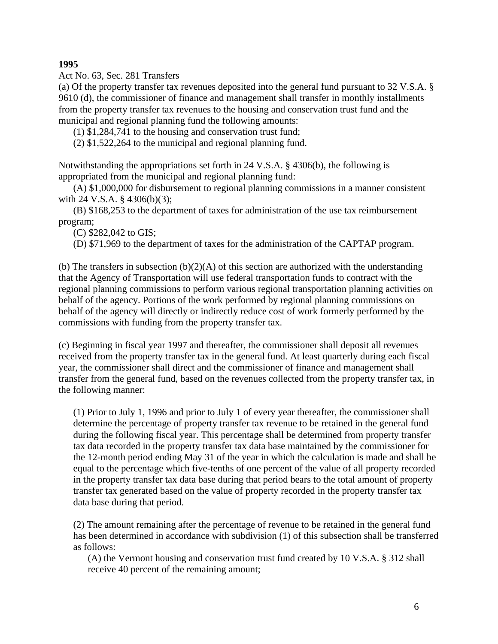**1995**

Act No. 63, Sec. 281 Transfers

(a) Of the property transfer tax revenues deposited into the general fund pursuant to 32 V.S.A. § 9610 (d), the commissioner of finance and management shall transfer in monthly installments from the property transfer tax revenues to the housing and conservation trust fund and the municipal and regional planning fund the following amounts:

(1) \$1,284,741 to the housing and conservation trust fund;

(2) \$1,522,264 to the municipal and regional planning fund.

Notwithstanding the appropriations set forth in 24 V.S.A. § 4306(b), the following is appropriated from the municipal and regional planning fund:

(A) \$1,000,000 for disbursement to regional planning commissions in a manner consistent with 24 V.S.A. § 4306(b)(3);

(B) \$168,253 to the department of taxes for administration of the use tax reimbursement program;

(C) \$282,042 to GIS;

(D) \$71,969 to the department of taxes for the administration of the CAPTAP program.

(b) The transfers in subsection  $(b)(2)(A)$  of this section are authorized with the understanding that the Agency of Transportation will use federal transportation funds to contract with the regional planning commissions to perform various regional transportation planning activities on behalf of the agency. Portions of the work performed by regional planning commissions on behalf of the agency will directly or indirectly reduce cost of work formerly performed by the commissions with funding from the property transfer tax.

(c) Beginning in fiscal year 1997 and thereafter, the commissioner shall deposit all revenues received from the property transfer tax in the general fund. At least quarterly during each fiscal year, the commissioner shall direct and the commissioner of finance and management shall transfer from the general fund, based on the revenues collected from the property transfer tax, in the following manner:

(1) Prior to July 1, 1996 and prior to July 1 of every year thereafter, the commissioner shall determine the percentage of property transfer tax revenue to be retained in the general fund during the following fiscal year. This percentage shall be determined from property transfer tax data recorded in the property transfer tax data base maintained by the commissioner for the 12-month period ending May 31 of the year in which the calculation is made and shall be equal to the percentage which five-tenths of one percent of the value of all property recorded in the property transfer tax data base during that period bears to the total amount of property transfer tax generated based on the value of property recorded in the property transfer tax data base during that period.

(2) The amount remaining after the percentage of revenue to be retained in the general fund has been determined in accordance with subdivision (1) of this subsection shall be transferred as follows:

(A) the Vermont housing and conservation trust fund created by 10 V.S.A. § 312 shall receive 40 percent of the remaining amount;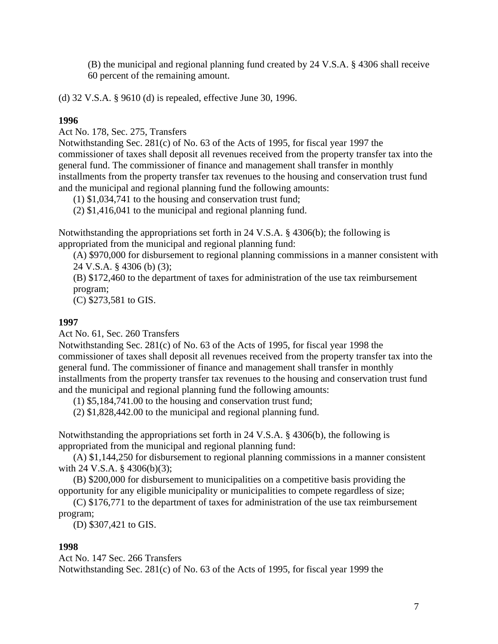(B) the municipal and regional planning fund created by 24 V.S.A. § 4306 shall receive 60 percent of the remaining amount.

(d) 32 V.S.A. § 9610 (d) is repealed, effective June 30, 1996.

## **1996**

Act No. 178, Sec. 275, Transfers

Notwithstanding Sec. 281(c) of No. 63 of the Acts of 1995, for fiscal year 1997 the commissioner of taxes shall deposit all revenues received from the property transfer tax into the general fund. The commissioner of finance and management shall transfer in monthly installments from the property transfer tax revenues to the housing and conservation trust fund and the municipal and regional planning fund the following amounts:

(1) \$1,034,741 to the housing and conservation trust fund;

(2) \$1,416,041 to the municipal and regional planning fund.

Notwithstanding the appropriations set forth in 24 V.S.A. § 4306(b); the following is appropriated from the municipal and regional planning fund:

(A) \$970,000 for disbursement to regional planning commissions in a manner consistent with 24 V.S.A. § 4306 (b) (3);

(B) \$172,460 to the department of taxes for administration of the use tax reimbursement program;

(C) \$273,581 to GIS.

## **1997**

Act No. 61, Sec. 260 Transfers

Notwithstanding Sec. 281(c) of No. 63 of the Acts of 1995, for fiscal year 1998 the commissioner of taxes shall deposit all revenues received from the property transfer tax into the general fund. The commissioner of finance and management shall transfer in monthly installments from the property transfer tax revenues to the housing and conservation trust fund and the municipal and regional planning fund the following amounts:

(1) \$5,184,741.00 to the housing and conservation trust fund;

(2) \$1,828,442.00 to the municipal and regional planning fund.

Notwithstanding the appropriations set forth in 24 V.S.A. § 4306(b), the following is appropriated from the municipal and regional planning fund:

(A) \$1,144,250 for disbursement to regional planning commissions in a manner consistent with 24 V.S.A. § 4306(b)(3);

(B) \$200,000 for disbursement to municipalities on a competitive basis providing the opportunity for any eligible municipality or municipalities to compete regardless of size;

(C) \$176,771 to the department of taxes for administration of the use tax reimbursement program;

(D) \$307,421 to GIS.

### **1998**

Act No. 147 Sec. 266 Transfers Notwithstanding Sec. 281(c) of No. 63 of the Acts of 1995, for fiscal year 1999 the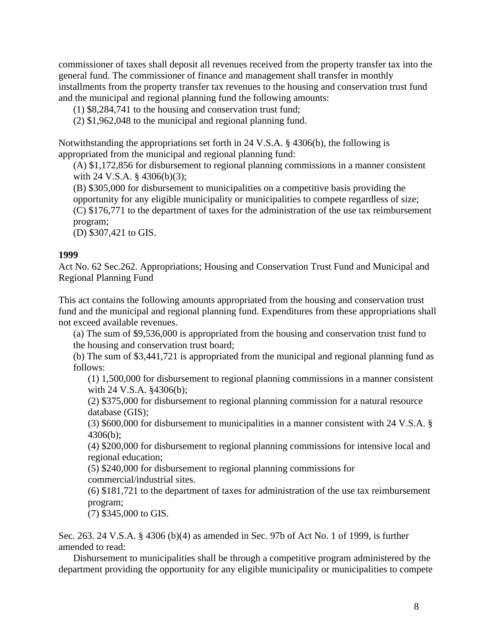commissioner of taxes shall deposit all revenues received from the property transfer tax into the general fund. The commissioner of finance and management shall transfer in monthly installments from the property transfer tax revenues to the housing and conservation trust fund and the municipal and regional planning fund the following amounts:

(1) \$8,284,741 to the housing and conservation trust fund;

(2) \$1,962,048 to the municipal and regional planning fund.

Notwithstanding the appropriations set forth in 24 V.S.A. § 4306(b), the following is appropriated from the municipal and regional planning fund:

(A) \$1,172,856 for disbursement to regional planning commissions in a manner consistent with 24 V.S.A. § 4306(b)(3);

(B) \$305,000 for disbursement to municipalities on a competitive basis providing the opportunity for any eligible municipality or municipalities to compete regardless of size; (C) \$176,771 to the department of taxes for the administration of the use tax reimbursement program;

(D) \$307,421 to GIS.

#### **1999**

Act No. 62 Sec.262. Appropriations; Housing and Conservation Trust Fund and Municipal and Regional Planning Fund

This act contains the following amounts appropriated from the housing and conservation trust fund and the municipal and regional planning fund. Expenditures from these appropriations shall not exceed available revenues.

(a) The sum of \$9,536,000 is appropriated from the housing and conservation trust fund to the housing and conservation trust board;

(b) The sum of \$3,441,721 is appropriated from the municipal and regional planning fund as follows:

(1) 1,500,000 for disbursement to regional planning commissions in a manner consistent with 24 V.S.A. §4306(b);

(2) \$375,000 for disbursement to regional planning commission for a natural resource database (GIS);

(3) \$600,000 for disbursement to municipalities in a manner consistent with 24 V.S.A. § 4306(b);

(4) \$200,000 for disbursement to regional planning commissions for intensive local and regional education;

(5) \$240,000 for disbursement to regional planning commissions for commercial/industrial sites.

(6) \$181,721 to the department of taxes for administration of the use tax reimbursement program;

(7) \$345,000 to GIS.

Sec. 263. 24 V.S.A. § 4306 (b)(4) as amended in Sec. 97b of Act No. 1 of 1999, is further amended to read:

Disbursement to municipalities shall be through a competitive program administered by the department providing the opportunity for any eligible municipality or municipalities to compete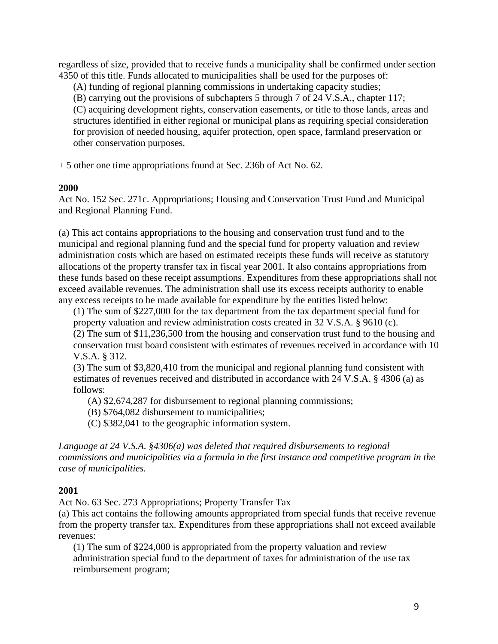regardless of size, provided that to receive funds a municipality shall be confirmed under section 4350 of this title. Funds allocated to municipalities shall be used for the purposes of:

(A) funding of regional planning commissions in undertaking capacity studies;

(B) carrying out the provisions of subchapters 5 through 7 of 24 V.S.A., chapter 117;

(C) acquiring development rights, conservation easements, or title to those lands, areas and structures identified in either regional or municipal plans as requiring special consideration for provision of needed housing, aquifer protection, open space, farmland preservation or other conservation purposes.

+ 5 other one time appropriations found at Sec. 236b of Act No. 62.

### **2000**

Act No. 152 Sec. 271c. Appropriations; Housing and Conservation Trust Fund and Municipal and Regional Planning Fund.

(a) This act contains appropriations to the housing and conservation trust fund and to the municipal and regional planning fund and the special fund for property valuation and review administration costs which are based on estimated receipts these funds will receive as statutory allocations of the property transfer tax in fiscal year 2001. It also contains appropriations from these funds based on these receipt assumptions. Expenditures from these appropriations shall not exceed available revenues. The administration shall use its excess receipts authority to enable any excess receipts to be made available for expenditure by the entities listed below:

(1) The sum of \$227,000 for the tax department from the tax department special fund for property valuation and review administration costs created in 32 V.S.A. § 9610 (c). (2) The sum of \$11,236,500 from the housing and conservation trust fund to the housing and conservation trust board consistent with estimates of revenues received in accordance with 10 V.S.A. § 312.

(3) The sum of \$3,820,410 from the municipal and regional planning fund consistent with estimates of revenues received and distributed in accordance with 24 V.S.A. § 4306 (a) as follows:

(A) \$2,674,287 for disbursement to regional planning commissions;

(B) \$764,082 disbursement to municipalities;

(C) \$382,041 to the geographic information system.

*Language at 24 V.S.A. §4306(a) was deleted that required disbursements to regional commissions and municipalities via a formula in the first instance and competitive program in the case of municipalities.*

## **2001**

Act No. 63 Sec. 273 Appropriations; Property Transfer Tax

(a) This act contains the following amounts appropriated from special funds that receive revenue from the property transfer tax. Expenditures from these appropriations shall not exceed available revenues:

(1) The sum of \$224,000 is appropriated from the property valuation and review administration special fund to the department of taxes for administration of the use tax reimbursement program;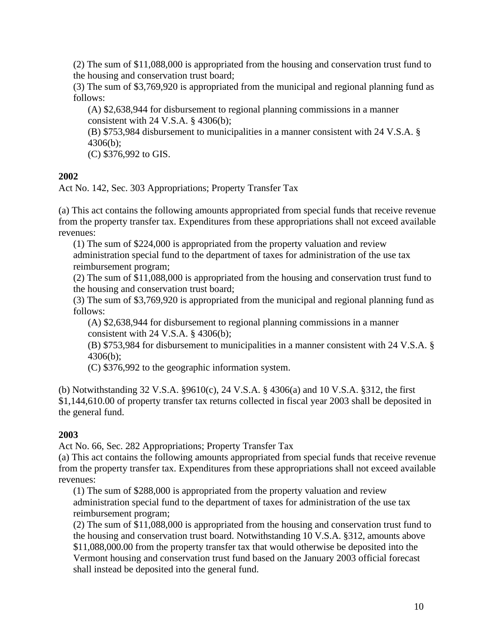(2) The sum of \$11,088,000 is appropriated from the housing and conservation trust fund to the housing and conservation trust board;

(3) The sum of \$3,769,920 is appropriated from the municipal and regional planning fund as follows:

(A) \$2,638,944 for disbursement to regional planning commissions in a manner consistent with 24 V.S.A. § 4306(b);

(B) \$753,984 disbursement to municipalities in a manner consistent with 24 V.S.A. § 4306(b);

(C) \$376,992 to GIS.

## **2002**

Act No. 142, Sec. 303 Appropriations; Property Transfer Tax

(a) This act contains the following amounts appropriated from special funds that receive revenue from the property transfer tax. Expenditures from these appropriations shall not exceed available revenues:

(1) The sum of \$224,000 is appropriated from the property valuation and review administration special fund to the department of taxes for administration of the use tax reimbursement program;

(2) The sum of \$11,088,000 is appropriated from the housing and conservation trust fund to the housing and conservation trust board;

(3) The sum of \$3,769,920 is appropriated from the municipal and regional planning fund as follows:

(A) \$2,638,944 for disbursement to regional planning commissions in a manner consistent with 24 V.S.A.  $\S$  4306(b);

(B) \$753,984 for disbursement to municipalities in a manner consistent with 24 V.S.A. § 4306(b);

(C) \$376,992 to the geographic information system.

(b) Notwithstanding 32 V.S.A. §9610(c), 24 V.S.A. § 4306(a) and 10 V.S.A. §312, the first \$1,144,610.00 of property transfer tax returns collected in fiscal year 2003 shall be deposited in the general fund.

## **2003**

Act No. 66, Sec. 282 Appropriations; Property Transfer Tax

(a) This act contains the following amounts appropriated from special funds that receive revenue from the property transfer tax. Expenditures from these appropriations shall not exceed available revenues:

(1) The sum of \$288,000 is appropriated from the property valuation and review administration special fund to the department of taxes for administration of the use tax reimbursement program;

(2) The sum of \$11,088,000 is appropriated from the housing and conservation trust fund to the housing and conservation trust board. Notwithstanding 10 V.S.A. §312, amounts above \$11,088,000.00 from the property transfer tax that would otherwise be deposited into the Vermont housing and conservation trust fund based on the January 2003 official forecast shall instead be deposited into the general fund.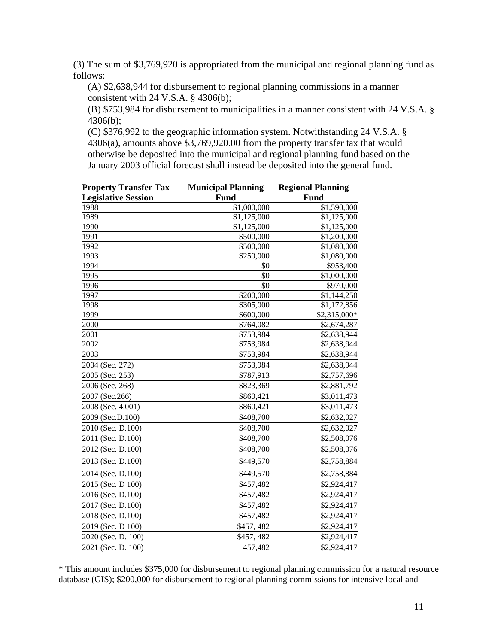(3) The sum of \$3,769,920 is appropriated from the municipal and regional planning fund as follows:

(A) \$2,638,944 for disbursement to regional planning commissions in a manner consistent with 24 V.S.A. § 4306(b);

(B) \$753,984 for disbursement to municipalities in a manner consistent with 24 V.S.A. § 4306(b);

(C) \$376,992 to the geographic information system. Notwithstanding 24 V.S.A. § 4306(a), amounts above \$3,769,920.00 from the property transfer tax that would otherwise be deposited into the municipal and regional planning fund based on the January 2003 official forecast shall instead be deposited into the general fund.

| <b>Property Transfer Tax</b><br><b>Legislative Session</b> | <b>Municipal Planning</b><br><b>Fund</b> | <b>Regional Planning</b><br>Fund |
|------------------------------------------------------------|------------------------------------------|----------------------------------|
|                                                            |                                          |                                  |
| 1989                                                       | \$1,125,000                              | \$1,125,000                      |
| 1990                                                       | \$1,125,000                              | \$1,125,000                      |
| 1991                                                       | \$500,000                                | \$1,200,000                      |
| 1992                                                       | \$500,000                                | \$1,080,000                      |
| 1993                                                       | \$250,000                                | \$1,080,000                      |
| 1994                                                       | \$0                                      | \$953,400                        |
| 1995                                                       | \$0                                      | \$1,000,000                      |
| 1996                                                       | \$0                                      | \$970,000                        |
| 1997                                                       | \$200,000                                | \$1,144,250                      |
| 1998                                                       | \$305,000                                | \$1,172,856                      |
| 1999                                                       | \$600,000                                | \$2,315,000*                     |
| 2000                                                       | \$764,082                                | \$2,674,287                      |
| 2001                                                       | \$753,984                                | \$2,638,944                      |
| 2002                                                       | \$753,984                                | \$2,638,944                      |
| 2003                                                       | \$753,984                                | \$2,638,944                      |
| 2004 (Sec. 272)                                            | \$753,984                                | \$2,638,944                      |
| 2005 (Sec. 253)                                            | \$787,913                                | \$2,757,696                      |
| 2006 (Sec. 268)                                            | \$823,369                                | \$2,881,792                      |
| 2007 (Sec.266)                                             | \$860,421                                | \$3,011,473                      |
| 2008 (Sec. 4.001)                                          | \$860,421                                | \$3,011,473                      |
| 2009 (Sec.D.100)                                           | \$408,700                                | \$2,632,027                      |
| 2010 (Sec. D.100)                                          | \$408,700                                | \$2,632,027                      |
| 2011 (Sec. D.100)                                          | \$408,700                                | \$2,508,076                      |
| 2012 (Sec. D.100)                                          | \$408,700                                | \$2,508,076                      |
| 2013 (Sec. D.100)                                          | \$449,570                                | \$2,758,884                      |
| 2014 (Sec. D.100)                                          | \$449,570                                | \$2,758,884                      |
| 2015 (Sec. D 100)                                          | \$457,482                                | \$2,924,417                      |
| 2016 (Sec. D.100)                                          | \$457,482                                | \$2,924,417                      |
| 2017 (Sec. D.100)                                          | \$457,482                                | \$2,924,417                      |
| 2018 (Sec. D.100)                                          | \$457,482                                | \$2,924,417                      |
| 2019 (Sec. D 100)                                          | \$457,482                                | \$2,924,417                      |
| 2020 (Sec. D. 100)                                         | \$457,482                                | \$2,924,417                      |
| 2021 (Sec. D. 100)                                         | 457,482                                  | \$2,924,417                      |

\* This amount includes \$375,000 for disbursement to regional planning commission for a natural resource database (GIS); \$200,000 for disbursement to regional planning commissions for intensive local and